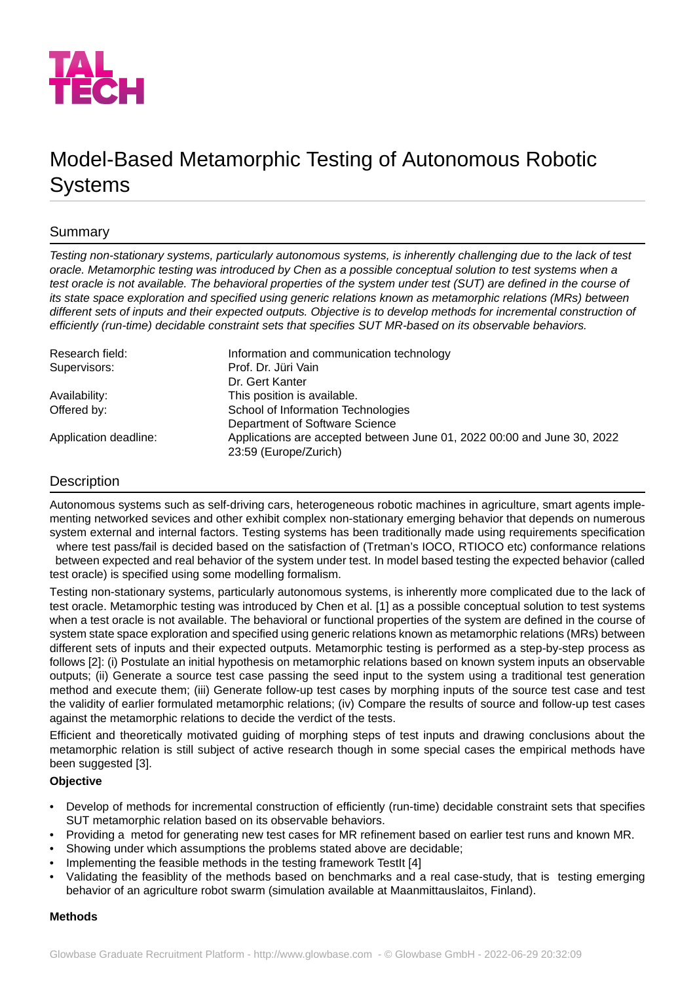

# Model-Based Metamorphic Testing of Autonomous Robotic Systems

## Summary

*Testing non-stationary systems, particularly autonomous systems, is inherently challenging due to the lack of test oracle. Metamorphic testing was introduced by Chen as a possible conceptual solution to test systems when a test oracle is not available. The behavioral properties of the system under test (SUT) are defined in the course of its state space exploration and specified using generic relations known as metamorphic relations (MRs) between different sets of inputs and their expected outputs. Objective is to develop methods for incremental construction of efficiently (run-time) decidable constraint sets that specifies SUT MR-based on its observable behaviors.*

| Research field:       | Information and communication technology                                                         |
|-----------------------|--------------------------------------------------------------------------------------------------|
| Supervisors:          | Prof. Dr. Jüri Vain                                                                              |
|                       | Dr. Gert Kanter                                                                                  |
| Availability:         | This position is available.                                                                      |
| Offered by:           | School of Information Technologies                                                               |
|                       | Department of Software Science                                                                   |
| Application deadline: | Applications are accepted between June 01, 2022 00:00 and June 30, 2022<br>23:59 (Europe/Zurich) |

## Description

Autonomous systems such as self-driving cars, heterogeneous robotic machines in agriculture, smart agents implementing networked sevices and other exhibit complex non-stationary emerging behavior that depends on numerous system external and internal factors. Testing systems has been traditionally made using requirements specification where test pass/fail is decided based on the satisfaction of (Tretman's IOCO, RTIOCO etc) conformance relations

 between expected and real behavior of the system under test. In model based testing the expected behavior (called test oracle) is specified using some modelling formalism.

Testing non-stationary systems, particularly autonomous systems, is inherently more complicated due to the lack of test oracle. Metamorphic testing was introduced by Chen et al. [1] as a possible conceptual solution to test systems when a test oracle is not available. The behavioral or functional properties of the system are defined in the course of system state space exploration and specified using generic relations known as metamorphic relations (MRs) between different sets of inputs and their expected outputs. Metamorphic testing is performed as a step-by-step process as follows [2]: (i) Postulate an initial hypothesis on metamorphic relations based on known system inputs an observable outputs; (ii) Generate a source test case passing the seed input to the system using a traditional test generation method and execute them; (iii) Generate follow-up test cases by morphing inputs of the source test case and test the validity of earlier formulated metamorphic relations; (iv) Compare the results of source and follow-up test cases against the metamorphic relations to decide the verdict of the tests.

Efficient and theoretically motivated guiding of morphing steps of test inputs and drawing conclusions about the metamorphic relation is still subject of active research though in some special cases the empirical methods have been suggested [3].

### **Objective**

- Develop of methods for incremental construction of efficiently (run-time) decidable constraint sets that specifies SUT metamorphic relation based on its observable behaviors.
- Providing a metod for generating new test cases for MR refinement based on earlier test runs and known MR.
- Showing under which assumptions the problems stated above are decidable;
- Implementing the feasible methods in the testing framework TestIt [4]
- Validating the feasiblity of the methods based on benchmarks and a real case-study, that is testing emerging behavior of an agriculture robot swarm (simulation available at Maanmittauslaitos, Finland).

#### **Methods**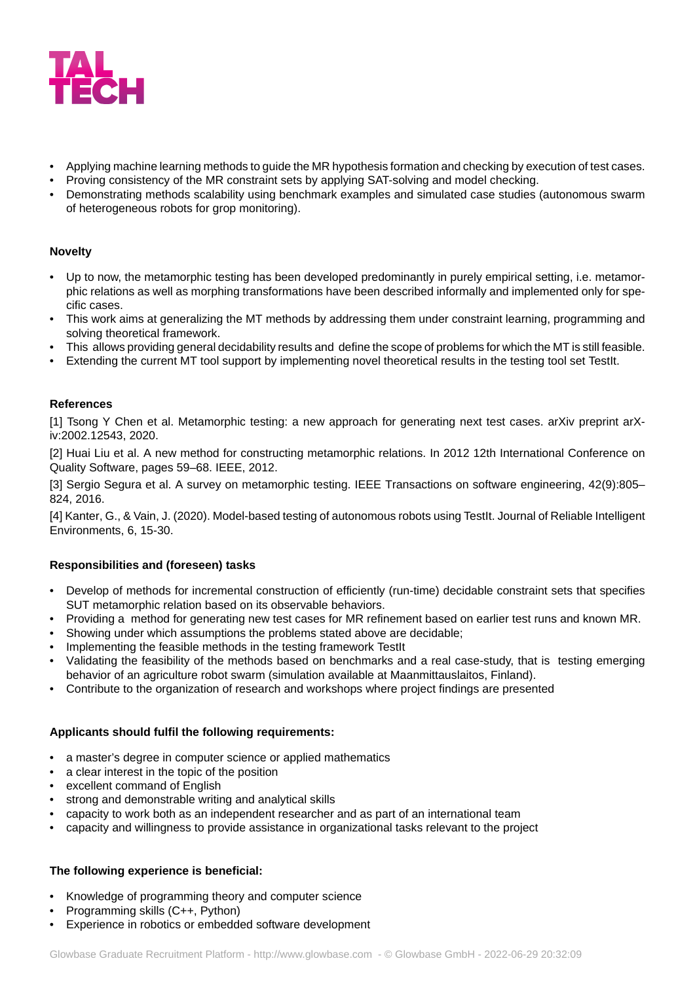

- Applying machine learning methods to guide the MR hypothesis formation and checking by execution of test cases.
- Proving consistency of the MR constraint sets by applying SAT-solving and model checking.
- Demonstrating methods scalability using benchmark examples and simulated case studies (autonomous swarm of heterogeneous robots for grop monitoring).

### **Novelty**

- Up to now, the metamorphic testing has been developed predominantly in purely empirical setting, i.e. metamorphic relations as well as morphing transformations have been described informally and implemented only for specific cases.
- This work aims at generalizing the MT methods by addressing them under constraint learning, programming and solving theoretical framework.
- This allows providing general decidability results and define the scope of problems for which the MT is still feasible.
- Extending the current MT tool support by implementing novel theoretical results in the testing tool set TestIt.

## **References**

[1] Tsong Y Chen et al. Metamorphic testing: a new approach for generating next test cases. arXiv preprint arXiv:2002.12543, 2020.

[2] Huai Liu et al. A new method for constructing metamorphic relations. In 2012 12th International Conference on Quality Software, pages 59–68. IEEE, 2012.

[3] Sergio Segura et al. A survey on metamorphic testing. IEEE Transactions on software engineering, 42(9):805– 824, 2016.

[4] Kanter, G., & Vain, J. (2020). Model-based testing of autonomous robots using TestIt. Journal of Reliable Intelligent Environments, 6, 15-30.

#### **Responsibilities and (foreseen) tasks**

- Develop of methods for incremental construction of efficiently (run-time) decidable constraint sets that specifies SUT metamorphic relation based on its observable behaviors.
- Providing a method for generating new test cases for MR refinement based on earlier test runs and known MR.
- Showing under which assumptions the problems stated above are decidable;
- Implementing the feasible methods in the testing framework TestIt
- Validating the feasibility of the methods based on benchmarks and a real case-study, that is testing emerging behavior of an agriculture robot swarm (simulation available at Maanmittauslaitos, Finland).
- Contribute to the organization of research and workshops where project findings are presented

### **Applicants should fulfil the following requirements:**

- a master's degree in computer science or applied mathematics
- a clear interest in the topic of the position
- excellent command of English
- strong and demonstrable writing and analytical skills
- capacity to work both as an independent researcher and as part of an international team
- capacity and willingness to provide assistance in organizational tasks relevant to the project

### **The following experience is beneficial:**

- Knowledge of programming theory and computer science
- Programming skills (C++, Python)
- Experience in robotics or embedded software development